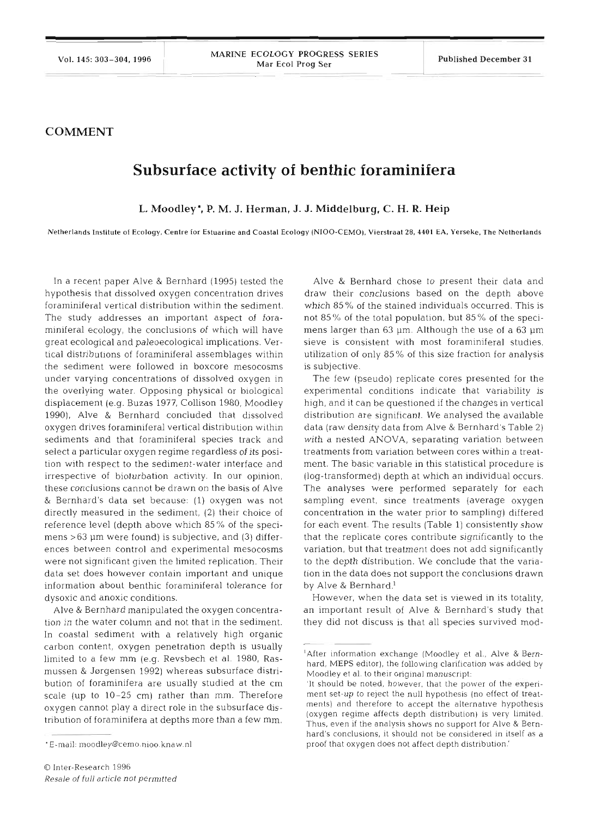## **COMMENT**

## **Subsurface activity of benthic foraminifera**

**L. Moodley\*, P. M. J. Herman, J. J. Middelburg, C. H. R. Heip** 

**Netherlands Institute of Ecology. Centre for Estuarine and Coastal Ecology (NIOO-CEMO). Vierstraat 28, 4401 EA. Yerseke. The Netherlands** 

In a recent paper Alve & Bernhard (1995) tested the hypothesis that dissolved oxygen concentration drives foraminiferal vertical distribution within the sediment. The study addresses an important aspect of foraminiferal ecology, the conclusions of which will have great ecological and paleoecological implications. Vertical distribulions of foraminiferal assemblages within the sediment were followed in boxcore mesocosms under varying concentrations of dissolved oxygen in the overlying water. Opposing physical or biological displacement (e.g. Buzas 1977, Collison 1980, Moodley 1990), Alve & Bernhard concluded that dissolved oxygen drives foraminiferal vertical distribution within sediments and that foraminiferal species track and select a particular oxygen regime regardless of its position with respect to the sediment-water interface and irrespective of bioturbation activity. In our opinion, these conclusions cannot be drawn on the basis of Alve & Bernhard's data set because: (1) oxygen was not directly measured in the sediment, (2) their choice of reference level (depth above which 85 % of the specimens  $>63$  µm were found) is subjective, and (3) differences between control and experimental mesocosms were not significant given the limited replication. Their data set does however contain important and unique information about benthic foraminiferal tolerance for dysoxic and anoxic conditions.

Alve & Bernhard manipulated the oxygen concentration in the water column and not that in the sediment. In coastal sediment with a relatively high organic carbon content, oxygen penetration depth is usually limited to a few mm (e.g. Revsbech et al. 1980, Rasmussen & Jørgensen 1992) whereas subsurface distribution of foraminifera are usually studied at the cm scale (up to 10-25 cm) rather than mm. Therefore oxygen cannot play a direct role in the subsurface distribution of foraminifera at depths more than a few mm.

Alve & Bernhard chose to present their data and draw their conclusions based on the depth above which 85 % of the stained individuals occurred. This is not  $85\%$  of the total population, but  $85\%$  of the specimens larger than 63 µm. Although the use of a 63 µm sieve is consistent with most foraminiferal studies, utilization of only 85% of this size fraction for analysis is subjective.

The few (pseudo) replicate cores presented for the experimental conditions indicate that variability is high, and it can be questioned if the changes in vertical distribution are significant. We analysed the available data (raw density data from Alve & Bernhard's Table 2) with a nested ANOVA, separating variation between treatments from varlation between cores within a treatment. The basic variable in this statistical procedure is (log-transformed) depth at which an individual occurs. The analyses were performed separately for each sampling event, since treatments (average oxygen concentration in the water prior to sampling) differed for each event. The results (Table 1) consistently show that the replicate cores contribute significantly to the variation, but that treatment does not add significantly to the depth distribution. We conclude that the variation in the data does not support the conclusions drawn by Alve & Bernhard.<sup>1</sup>

However, when the data set is viewed in its totality, an important result of Alve & Bernhard's study that they did not discuss is that all species survived mod-

<sup>&#</sup>x27;E-mail: moodley@cemo.nioo.knaw.nl

<sup>&#</sup>x27;After information exchange (Moodley et al., Alve & Bernhard, MEPS editor), the following clarification was added by Moodley et al. to their original manuscript:

<sup>&#</sup>x27;It should be noted, however, that the power of the experiment set-up to reject the null hypothesis (no effect of treatments) and therefore to accept the alternative hypothesis (oxygen regime affects depth distribution) is very limited. Thus, even if the analysis shows no support for Alve & Bernhard's conclusions, it should not be considered in itself as a proof that oxygen does not affect depth distribution'